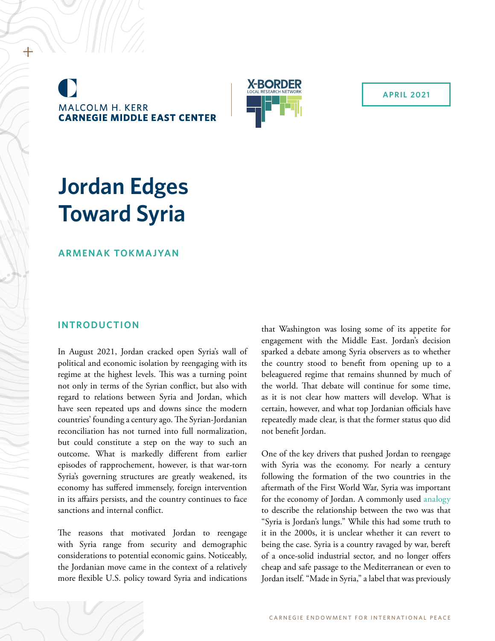**MALCOLM H. KERR CARNEGIE MIDDLE EAST CENTER** 



**APRIL 2021**

# **Jordan Edges Toward Syria**

**ARMENAK TOKMAJYAN**

## **INTRODUCTION**

In August 2021, Jordan cracked open Syria's wall of political and economic isolation by reengaging with its regime at the highest levels. This was a turning point not only in terms of the Syrian conflict, but also with regard to relations between Syria and Jordan, which have seen repeated ups and downs since the modern countries' founding a century ago. The Syrian-Jordanian reconciliation has not turned into full normalization, but could constitute a step on the way to such an outcome. What is markedly different from earlier episodes of rapprochement, however, is that war-torn Syria's governing structures are greatly weakened, its economy has suffered immensely, foreign intervention in its affairs persists, and the country continues to face sanctions and internal conflict.

The reasons that motivated Jordan to reengage with Syria range from security and demographic considerations to potential economic gains. Noticeably, the Jordanian move came in the context of a relatively more flexible U.S. policy toward Syria and indications

that Washington was losing some of its appetite for engagement with the Middle East. Jordan's decision sparked a debate among Syria observers as to whether the country stood to benefit from opening up to a beleaguered regime that remains shunned by much of the world. That debate will continue for some time, as it is not clear how matters will develop. What is certain, however, and what top Jordanian officials have repeatedly made clear, is that the former status quo did not benefit Jordan.

One of the key drivers that pushed Jordan to reengage with Syria was the economy. For nearly a century following the formation of the two countries in the aftermath of the First World War, Syria was important for the economy of Jordan. A commonly used [analogy](https://www.atlanticcouncil.org/blogs/menasource/jordan-is-pushing-for-rapprochement-with-syria-but-is-it-to-reinforce-artificial-stability-in-the-region/) to describe the relationship between the two was that "Syria is Jordan's lungs." While this had some truth to it in the 2000s, it is unclear whether it can revert to being the case. Syria is a country ravaged by war, bereft of a once-solid industrial sector, and no longer offers cheap and safe passage to the Mediterranean or even to Jordan itself. "Made in Syria," a label that was previously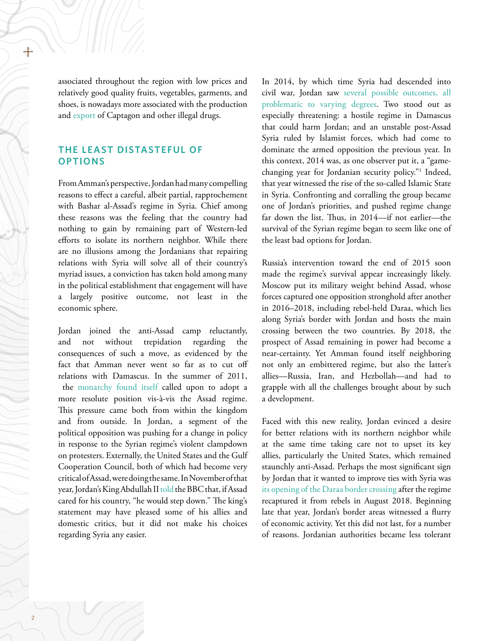associated throughout the region with low prices and relatively good quality fruits, vegetables, garments, and shoes, is nowadays more associated with the production and [export](https://www.nytimes.com/2021/12/05/world/middleeast/syria-drugs-captagon-assad.html) of Captagon and other illegal drugs.

## **THE LEAST DISTASTEFUL OF OPTIONS**

From Amman's perspective, Jordan had many compelling reasons to effect a careful, albeit partial, rapprochement with Bashar al-Assad's regime in Syria. Chief among these reasons was the feeling that the country had nothing to gain by remaining part of Western-led efforts to isolate its northern neighbor. While there are no illusions among the Jordanians that repairing relations with Syria will solve all of their country's myriad issues, a conviction has taken hold among many in the political establishment that engagement will have a largely positive outcome, not least in the economic sphere.

Jordan joined the anti-Assad camp reluctantly, and not without trepidation regarding the consequences of such a move, as evidenced by the fact that Amman never went so far as to cut off relations with Damascus. In the summer of 2011, the [monarchy found itself](https://www.usip.org/publications/2011/11/jordan-and-current-unrest-syria) called upon to adopt a more resolute position vis-à-vis the Assad regime. This pressure came both from within the kingdom and from outside. In Jordan, a segment of the political opposition was pushing for a change in policy in response to the Syrian regime's violent clampdown on protesters. Externally, the United States and the Gulf Cooperation Council, both of which had become very critical of Assad, were doing the same. In November of that year, Jordan's King Abdullah II [told](https://www.bbc.com/news/world-middle-east-15723023) the BBC that, if Assad cared for his country, "he would step down." The king's statement may have pleased some of his allies and domestic critics, but it did not make his choices regarding Syria any easier.

In 2014, by which time Syria had descended into civil war, Jordan saw [several possible outcomes, all](https://foreignpolicy.com/2013/05/01/jordans-security-dilemmas/)  [problematic to varying degrees.](https://foreignpolicy.com/2013/05/01/jordans-security-dilemmas/) Two stood out as especially threatening: a hostile regime in Damascus that could harm Jordan; and an unstable post-Assad Syria ruled by Islamist forces, which had come to dominate the armed opposition the previous year. In this context, 2014 was, as one observer put it, a "gamechanging year for Jordanian security policy."1 Indeed, that year witnessed the rise of the so-called Islamic State in Syria. Confronting and corralling the group became one of Jordan's priorities, and pushed regime change far down the list. Thus, in 2014—if not earlier—the survival of the Syrian regime began to seem like one of the least bad options for Jordan.

Russia's intervention toward the end of 2015 soon made the regime's survival appear increasingly likely. Moscow put its military weight behind Assad, whose forces captured one opposition stronghold after another in 2016–2018, including rebel-held Daraa, which lies along Syria's border with Jordan and hosts the main crossing between the two countries. By 2018, the prospect of Assad remaining in power had become a near-certainty. Yet Amman found itself neighboring not only an embittered regime, but also the latter's allies—Russia, Iran, and Hezbollah—and had to grapple with all the challenges brought about by such a development.

Faced with this new reality, Jordan evinced a desire for better relations with its northern neighbor while at the same time taking care not to upset its key allies, particularly the United States, which remained staunchly anti-Assad. Perhaps the most significant sign by Jordan that it wanted to improve ties with Syria was [its opening of the Daraa border crossing](https://carnegie-mec.org/2021/04/19/thwarting-jordan-s-bahhara-trade-with-syria-risks-social-unrest-in-ramtha-pub-84351) after the regime recaptured it from rebels in August 2018. Beginning late that year, Jordan's border areas witnessed a flurry of economic activity. Yet this did not last, for a number of reasons. Jordanian authorities became less tolerant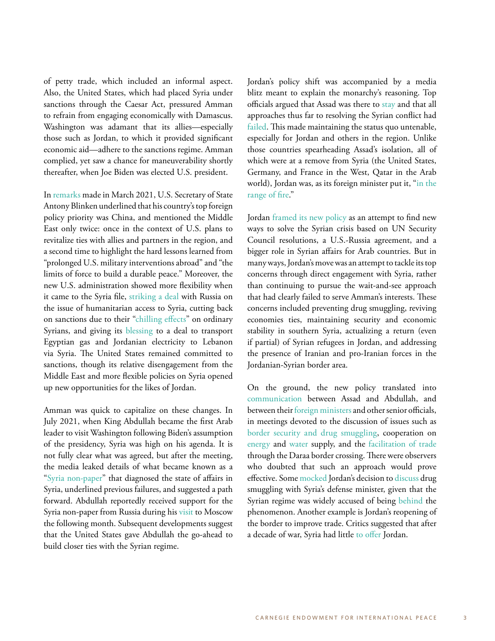of petty trade, which included an informal aspect. Also, the United States, which had placed Syria under sanctions through the Caesar Act, pressured Amman to refrain from engaging economically with Damascus. Washington was adamant that its allies—especially those such as Jordan, to which it provided significant economic aid—adhere to the sanctions regime. Amman complied, yet saw a chance for maneuverability shortly thereafter, when Joe Biden was elected U.S. president.

In [remarks](https://www.state.gov/a-foreign-policy-for-the-american-people/) made in March 2021, U.S. Secretary of State Antony Blinken underlined that his country's top foreign policy priority was China, and mentioned the Middle East only twice: once in the context of U.S. plans to revitalize ties with allies and partners in the region, and a second time to highlight the hard lessons learned from "prolonged U.S. military interventions abroad" and "the limits of force to build a durable peace." Moreover, the new U.S. administration showed more flexibility when it came to the Syria file, [striking a deal](https://thearabweekly.com/russia-us-reach-deal-un-aid-north-western-syria) with Russia on the issue of humanitarian access to Syria, cutting back on sanctions due to their ["chilling effects](https://warontherocks.com/2021/11/lights-on-in-lebanon-limiting-the-fallout-from-u-s-sanctions-on-syria/)" on ordinary Syrians, and giving its [blessing](https://warontherocks.com/2021/11/lights-on-in-lebanon-limiting-the-fallout-from-u-s-sanctions-on-syria/) to a deal to transport Egyptian gas and Jordanian electricity to Lebanon via Syria. The United States remained committed to sanctions, though its relative disengagement from the Middle East and more flexible policies on Syria opened up new opportunities for the likes of Jordan.

Amman was quick to capitalize on these changes. In July 2021, when King Abdullah became the first Arab leader to visit Washington following Biden's assumption of the presidency, Syria was high on his agenda. It is not fully clear what was agreed, but after the meeting, the media leaked details of what became known as a ["Syria non-paper](https://aawsat.com/home/article/3221221/%C2%AB%D9%88%D8%AB%D9%8A%D9%82%D8%A9-%D8%B3%D8%B1%D9%8A%D8%A9%C2%BB-%D8%AA%D9%82%D8%AA%D8%B1%D8%AD-%D8%AE%D8%B7%D9%88%D8%A7%D8%AA-%D9%84%D9%80%C2%AB%D8%AA%D8%BA%D9%8A%D9%8A%D8%B1-%D9%85%D8%AA%D8%AF%D8%B1%D8%AC-%D9%84%D8%B3%D9%84%D9%88%D9%83-%D8%A7%D9%84%D9%86%D8%B8%D8%A7%D9%85%C2%BB-%D8%A7%D9%84%D8%B3%D9%88%D8%B1%D9%8A)" that diagnosed the state of affairs in Syria, underlined previous failures, and suggested a path forward. Abdullah reportedly received support for the Syria non-paper from Russia during his [visit](http://en.kremlin.ru/events/president/news/66437) to Moscow the following month. Subsequent developments suggest that the United States gave Abdullah the go-ahead to build closer ties with the Syrian regime.

Jordan's policy shift was accompanied by a media blitz meant to explain the monarchy's reasoning. Top officials argued that Assad was there to [stay](https://edition.cnn.com/videos/tv/2021/07/25/exp-gps-0725-king-abdullah-syria-refugees.cnn) and that all approaches thus far to resolving the Syrian conflict had [failed.](https://www.france24.com/en/tv-shows/the-interview/20211112-western-policy-on-syria-has-been-a-failure-jordan-s-fm-tells-france-24) This made maintaining the status quo untenable, especially for Jordan and others in the region. Unlike those countries spearheading Assad's isolation, all of which were at a remove from Syria (the United States, Germany, and France in the West, Qatar in the Arab world), Jordan was, as its foreign minister put it, "in the [range of fire](https://www.youtube.com/watch?app=desktop&v=Aj2DLsMlMXc)."

Jordan [framed its new policy](https://www.youtube.com/watch?v=Fd5BffaYguc) as an attempt to find new ways to solve the Syrian crisis based on UN Security Council resolutions, a U.S.-Russia agreement, and a bigger role in Syrian affairs for Arab countries. But in many ways, Jordan's move was an attempt to tackle its top concerns through direct engagement with Syria, rather than continuing to pursue the wait-and-see approach that had clearly failed to serve Amman's interests. These concerns included preventing drug smuggling, reviving economies ties, maintaining security and economic stability in southern Syria, actualizing a return (even if partial) of Syrian refugees in Jordan, and addressing the presence of Iranian and pro-Iranian forces in the Jordanian-Syrian border area.

On the ground, the new policy translated into [communication](https://www.reuters.com/world/middle-east/jordans-abdullah-receives-first-call-syrias-assad-since-start-conflict-2021-10-03/) between Assad and Abdullah, and between their [foreign ministers](https://npasyria.com/en/65123/) and other senior officials, in meetings devoted to the discussion of issues such as [border security and drug smuggling](https://petra.gov.jo/Include/InnerPage.jsp?ID=189522&lang=ar&name=news), cooperation on [energy](https://english.alaraby.co.uk/news/syria-regime-delegation-visits-jordan-energy-talks) and [water](http://nabdapp.com/t/99697475) supply, and the [facilitation of trade](https://www.reuters.com/world/middle-east/jordan-fully-reopens-main-crossing-with-syria-2021-09-29/) through the Daraa border crossing. There were observers who doubted that such an approach would prove effective. Some [mocked](https://aawsat.com/home/article/3213261/%D8%B4%D8%A7%D8%B1%D9%84%D8%B2-%D9%84%D9%8A%D8%B3%D8%AA%D8%B1/%D9%87%D9%84-%D8%AA%D9%86%D8%AC%D8%AD-%D8%A7%D9%84%D9%85%D8%A8%D8%A7%D8%AF%D8%B1%D8%A7%D8%AA-%D8%A7%D9%84%D8%A5%D9%82%D9%84%D9%8A%D9%85%D9%8A%D8%A9-%D9%85%D8%B9-%D8%AF%D9%85%D8%B4%D9%82%D8%9F) Jordan's decision to [discuss](https://petra.gov.jo/Include/InnerPage.jsp?ID=189522&lang=ar&name=news) drug smuggling with Syria's defense minister, given that the Syrian regime was widely accused of being [behind](https://www.nytimes.com/2021/12/05/world/middleeast/syria-drugs-captagon-assad.html) the phenomenon. Another example is Jordan's reopening of the border to improve trade. Critics suggested that after a decade of war, Syria had little [to offer](https://twitter.com/joel_rayburn/status/1442526790883348489) Jordan.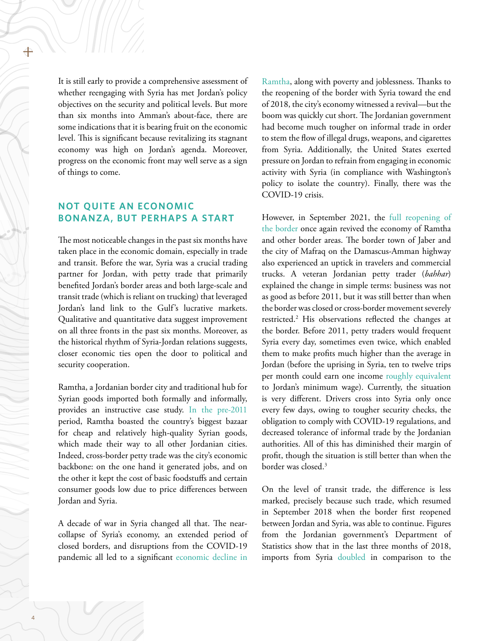It is still early to provide a comprehensive assessment of whether reengaging with Syria has met Jordan's policy objectives on the security and political levels. But more than six months into Amman's about-face, there are some indications that it is bearing fruit on the economic level. This is significant because revitalizing its stagnant economy was high on Jordan's agenda. Moreover, progress on the economic front may well serve as a sign of things to come.

## **NOT QUITE AN ECONOMIC BONANZA, BUT PERHAPS A START**

The most noticeable changes in the past six months have taken place in the economic domain, especially in trade and transit. Before the war, Syria was a crucial trading partner for Jordan, with petty trade that primarily benefited Jordan's border areas and both large-scale and transit trade (which is reliant on trucking) that leveraged Jordan's land link to the Gulf's lucrative markets. Qualitative and quantitative data suggest improvement on all three fronts in the past six months. Moreover, as the historical rhythm of Syria-Jordan relations suggests, closer economic ties open the door to political and security cooperation.

Ramtha, a Jordanian border city and traditional hub for Syrian goods imported both formally and informally, provides an instructive case study. [In the pre-2011](https://carnegie-mec.org/2021/04/19/thwarting-jordan-s-bahhara-trade-with-syria-risks-social-unrest-in-ramtha-pub-84351) period, Ramtha boasted the country's biggest bazaar for cheap and relatively high-quality Syrian goods, which made their way to all other Jordanian cities. Indeed, cross-border petty trade was the city's economic backbone: on the one hand it generated jobs, and on the other it kept the cost of basic foodstuffs and certain consumer goods low due to price differences between Jordan and Syria.

A decade of war in Syria changed all that. The nearcollapse of Syria's economy, an extended period of closed borders, and disruptions from the COVID-19 pandemic all led to a significant [economic decline in](https://carnegie-mec.org/2021/04/19/thwarting-jordan-s-bahhara-trade-with-syria-risks-social-unrest-in-ramtha-pub-84351) 

[Ramtha,](https://carnegie-mec.org/2021/04/19/thwarting-jordan-s-bahhara-trade-with-syria-risks-social-unrest-in-ramtha-pub-84351) along with poverty and joblessness. Thanks to the reopening of the border with Syria toward the end of 2018, the city's economy witnessed a revival—but the boom was quickly cut short. The Jordanian government had become much tougher on informal trade in order to stem the flow of illegal drugs, weapons, and cigarettes from Syria. Additionally, the United States exerted pressure on Jordan to refrain from engaging in economic activity with Syria (in compliance with Washington's policy to isolate the country). Finally, there was the COVID-19 crisis.

However, in September 2021, the [full reopening of](https://www.reuters.com/world/middle-east/jordan-fully-reopens-main-crossing-with-syria-2021-09-29/)  [the border o](https://www.reuters.com/world/middle-east/jordan-fully-reopens-main-crossing-with-syria-2021-09-29/)nce again revived the economy of Ramtha and other border areas. The border town of Jaber and the city of Mafraq on the Damascus-Amman highway also experienced an uptick in travelers and commercial trucks. A veteran Jordanian petty trader (*bahhar*) explained the change in simple terms: business was not as good as before 2011, but it was still better than when the border was closed or cross-border movement severely restricted.2 His observations reflected the changes at the border. Before 2011, petty traders would frequent Syria every day, sometimes even twice, which enabled them to make profits much higher than the average in Jordan (before the uprising in Syria, ten to twelve trips per month could earn one income [roughly equivalent](http://alrai.com/article/10450889/%D9%85%D8%AD%D9%84%D9%8A%D8%A7%D8%AA/%D8%BA%D9%86%D9%8A%D9%85%D8%A7%D8%AA-%D8%A3%D8%B1%D9%82%D8%A7%D9%85-%D8%AE%D8%B7-%D8%A7%D9%84%D9%81%D9%82%D8%B1-%D9%81%D9%8A-%D8%A7%D9%84%D8%A3%D8%B1%D8%AF%D9%86-%D8%BA%D9%8A%D8%B1-%D9%85%D9%82%D9%86%D8%B9%D8%A9-%D9%88%D8%B5%D8%A7%D8%AF%D9%85%D8%A9) to Jordan's minimum wage). Currently, the situation is very different. Drivers cross into Syria only once every few days, owing to tougher security checks, the obligation to comply with COVID-19 regulations, and decreased tolerance of informal trade by the Jordanian authorities. All of this has diminished their margin of profit, though the situation is still better than when the border was closed.3

On the level of transit trade, the difference is less marked, precisely because such trade, which resumed in September 2018 when the border first reopened between Jordan and Syria, was able to continue. Figures from the Jordanian government's Department of Statistics show that in the last three months of 2018, imports from Syria [doubled](https://jorinfo.dos.gov.jo/Databank/pxweb/en/DOS_Database/START__03__0301/EXTRD_CNT/table/tableViewLayout2/) in comparison to the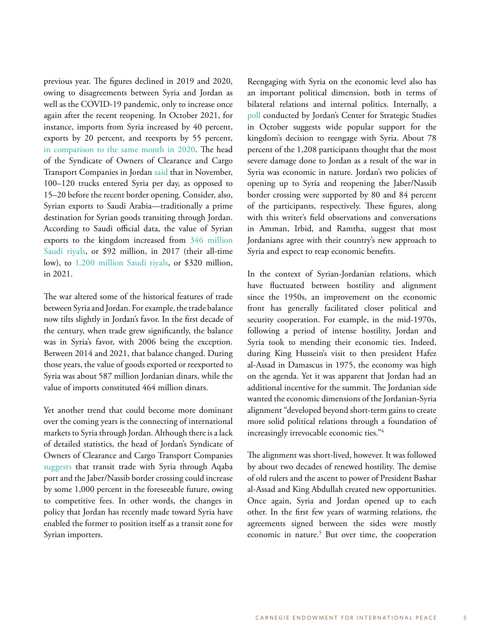previous year. The figures declined in 2019 and 2020, owing to disagreements between Syria and Jordan as well as the COVID-19 pandemic, only to increase once again after the recent reopening. In October 2021, for instance, imports from Syria increased by 40 percent, exports by 20 percent, and reexports by 55 percent, [in comparison to the same month in 2020.](https://jorinfo.dos.gov.jo/Databank/pxweb/en/DOS_Database/START__03__0301/EXTRD_CNT/table/tableViewLayout2/) The head of the Syndicate of Owners of Clearance and Cargo Transport Companies in Jordan [said](https://alghad.com/850-%D8%A7%D8%B1%D8%AA%D9%81%D8%A7%D8%B9-%D8%AD%D8%B1%D9%83%D8%A9-%D8%A7%D9%84%D8%B4%D8%A7%D8%AD%D9%86%D8%A7%D8%AA-%D9%85%D9%86-%D8%A7%D9%84%D8%A3%D8%B1%D8%AF%D9%86-%D8%A5%D9%84%D9%89-%D8%B3%D9%88/) that in November, 100–120 trucks entered Syria per day, as opposed to 15–20 before the recent border opening. Consider, also, Syrian exports to Saudi Arabia—traditionally a prime destination for Syrian goods transiting through Jordan. According to Saudi official data, the value of Syrian exports to the kingdom increased from [346 million](https://www.stats.gov.sa/en/325)  [Saudi riyals](https://www.stats.gov.sa/en/325), or \$92 million, in 2017 (their all-time low), to [1,200 million Saudi riyals,](https://www.stats.gov.sa/en/325) or \$320 million, in 2021.

The war altered some of the historical features of trade between Syria and Jordan. For example, the trade balance now tilts slightly in Jordan's favor. In the first decade of the century, when trade grew significantly, the balance was in Syria's favor, with 2006 being the exception. Between 2014 and 2021, that balance changed. During those years, the value of goods exported or reexported to Syria was about 587 million Jordanian dinars, while the value of imports constituted 464 million dinars.

Yet another trend that could become more dominant over the coming years is the connecting of international markets to Syria through Jordan. Although there is a lack of detailed statistics, the head of Jordan's Syndicate of Owners of Clearance and Cargo Transport Companies [suggests](https://alghad.com/%D8%AA%D9%88%D9%82%D8%B9-%D8%A7%D8%B1%D8%AA%D9%81%D8%A7%D8%B9-%D8%AA%D8%AC%D8%A7%D8%B1%D8%A9-%D8%A7%D9%84%D8%AA%D8%B1%D8%A7%D9%86%D8%B2%D9%8A%D8%AA-%D8%A5%D9%84%D9%89-%D8%B3%D9%88%D8%B1%D9%8A%D8%A9/) that transit trade with Syria through Aqaba port and the Jaber/Nassib border crossing could increase by some 1,000 percent in the foreseeable future, owing to competitive fees. In other words, the changes in policy that Jordan has recently made toward Syria have enabled the former to position itself as a transit zone for Syrian importers.

Reengaging with Syria on the economic level also has an important political dimension, both in terms of bilateral relations and internal politics. Internally, a [poll](https://jcss.org/2246/%D8%A7%D8%B3%D8%AA%D8%B7%D9%84%D8%A7%D8%B9-%D9%84%D9%84%D8%B1%D8%A3%D9%8A-%D8%A7%D9%84%D8%B9%D8%A7%D9%85-%D8%AD%D9%88%D9%84-%D8%A7%D9%84%D8%A3%D9%88%D8%B6%D8%A7%D8%B9-%D9%81%D9%8A-%D8%B3%D9%88%D8%B1/) conducted by Jordan's Center for Strategic Studies in October suggests wide popular support for the kingdom's decision to reengage with Syria. About 78 percent of the 1,208 participants thought that the most severe damage done to Jordan as a result of the war in Syria was economic in nature. Jordan's two policies of opening up to Syria and reopening the Jaber/Nassib border crossing were supported by 80 and 84 percent of the participants, respectively. These figures, along with this writer's field observations and conversations in Amman, Irbid, and Ramtha, suggest that most Jordanians agree with their country's new approach to Syria and expect to reap economic benefits.

In the context of Syrian-Jordanian relations, which have fluctuated between hostility and alignment since the 1950s, an improvement on the economic front has generally facilitated closer political and security cooperation. For example, in the mid-1970s, following a period of intense hostility, Jordan and Syria took to mending their economic ties. Indeed, during King Hussein's visit to then president Hafez al-Assad in Damascus in 1975, the economy was high on the agenda. Yet it was apparent that Jordan had an additional incentive for the summit. The Jordanian side wanted the economic dimensions of the Jordanian-Syria alignment "developed beyond short-term gains to create more solid political relations through a foundation of increasingly irrevocable economic ties."4

The alignment was short-lived, however. It was followed by about two decades of renewed hostility. The demise of old rulers and the ascent to power of President Bashar al-Assad and King Abdullah created new opportunities. Once again, Syria and Jordan opened up to each other. In the first few years of warming relations, the agreements signed between the sides were mostly economic in nature.<sup>5</sup> But over time, the cooperation